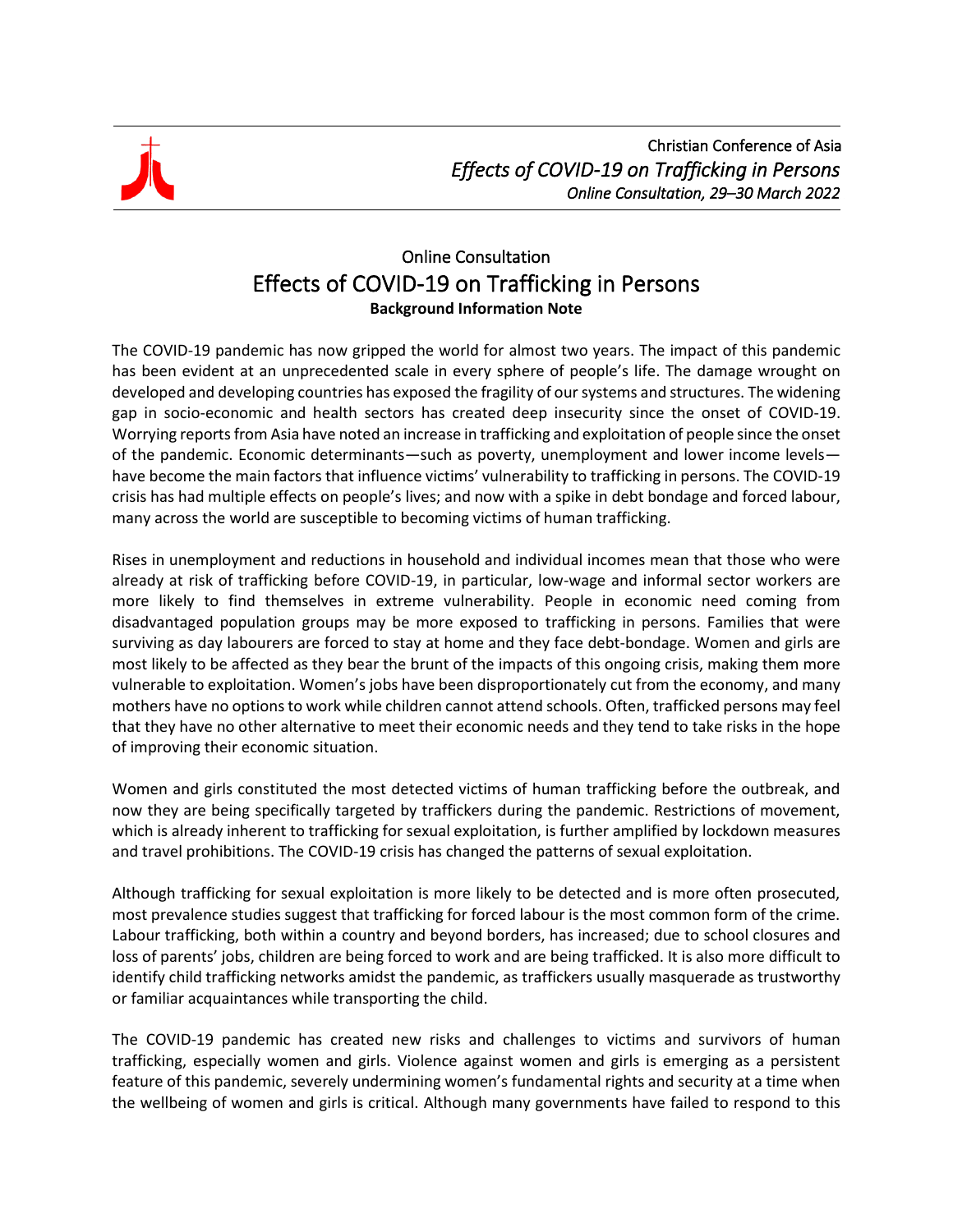

## Online Consultation Effects of COVID-19 on Trafficking in Persons **Background Information Note**

The COVID-19 pandemic has now gripped the world for almost two years. The impact of this pandemic has been evident at an unprecedented scale in every sphere of people's life. The damage wrought on developed and developing countries has exposed the fragility of our systems and structures. The widening gap in socio-economic and health sectors has created deep insecurity since the onset of COVID-19. Worrying reports from Asia have noted an increase in trafficking and exploitation of people since the onset of the pandemic. Economic determinants—such as poverty, unemployment and lower income levels have become the main factors that influence victims' vulnerability to trafficking in persons. The COVID-19 crisis has had multiple effects on people's lives; and now with a spike in debt bondage and forced labour, many across the world are susceptible to becoming victims of human trafficking.

Rises in unemployment and reductions in household and individual incomes mean that those who were already at risk of trafficking before COVID-19, in particular, low-wage and informal sector workers are more likely to find themselves in extreme vulnerability. People in economic need coming from disadvantaged population groups may be more exposed to trafficking in persons. Families that were surviving as day labourers are forced to stay at home and they face debt-bondage. Women and girls are most likely to be affected as they bear the brunt of the impacts of this ongoing crisis, making them more vulnerable to exploitation. Women's jobs have been disproportionately cut from the economy, and many mothers have no options to work while children cannot attend schools. Often, trafficked persons may feel that they have no other alternative to meet their economic needs and they tend to take risks in the hope of improving their economic situation.

Women and girls constituted the most detected victims of human trafficking before the outbreak, and now they are being specifically targeted by traffickers during the pandemic. Restrictions of movement, which is already inherent to trafficking for sexual exploitation, is further amplified by lockdown measures and travel prohibitions. The COVID-19 crisis has changed the patterns of sexual exploitation.

Although trafficking for sexual exploitation is more likely to be detected and is more often prosecuted, most prevalence studies suggest that trafficking for forced labour is the most common form of the crime. Labour trafficking, both within a country and beyond borders, has increased; due to school closures and loss of parents' jobs, children are being forced to work and are being trafficked. It is also more difficult to identify child trafficking networks amidst the pandemic, as traffickers usually masquerade as trustworthy or familiar acquaintances while transporting the child.

The COVID-19 pandemic has created new risks and challenges to victims and survivors of human trafficking, especially women and girls. Violence against women and girls is emerging as a persistent feature of this pandemic, severely undermining women's fundamental rights and security at a time when the wellbeing of women and girls is critical. Although many governments have failed to respond to this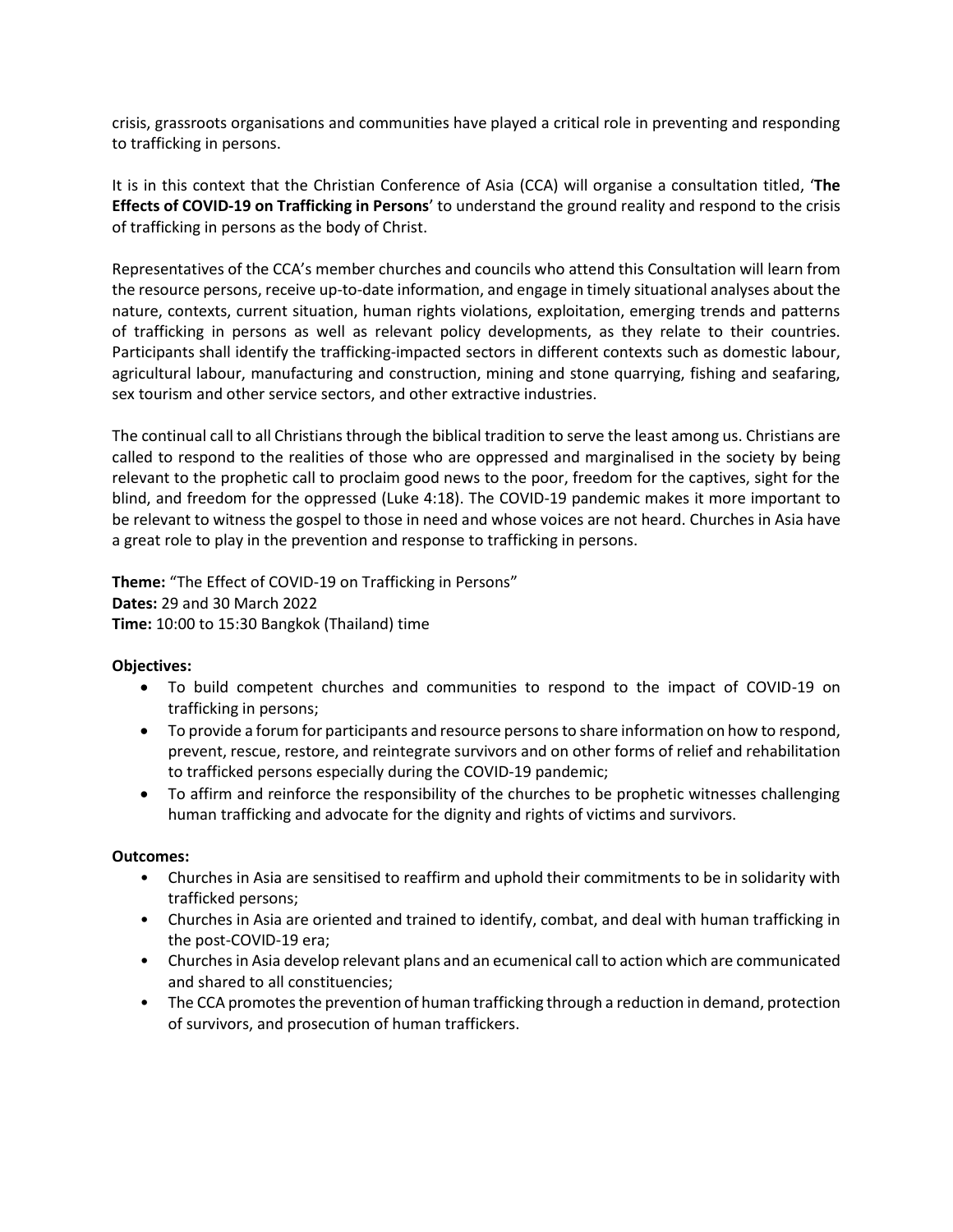crisis, grassroots organisations and communities have played a critical role in preventing and responding to trafficking in persons.

It is in this context that the Christian Conference of Asia (CCA) will organise a consultation titled, '**The Effects of COVID-19 on Trafficking in Persons**' to understand the ground reality and respond to the crisis of trafficking in persons as the body of Christ.

Representatives of the CCA's member churches and councils who attend this Consultation will learn from the resource persons, receive up-to-date information, and engage in timely situational analyses about the nature, contexts, current situation, human rights violations, exploitation, emerging trends and patterns of trafficking in persons as well as relevant policy developments, as they relate to their countries. Participants shall identify the trafficking-impacted sectors in different contexts such as domestic labour, agricultural labour, manufacturing and construction, mining and stone quarrying, fishing and seafaring, sex tourism and other service sectors, and other extractive industries.

The continual call to all Christians through the biblical tradition to serve the least among us. Christians are called to respond to the realities of those who are oppressed and marginalised in the society by being relevant to the prophetic call to proclaim good news to the poor, freedom for the captives, sight for the blind, and freedom for the oppressed (Luke 4:18). The COVID-19 pandemic makes it more important to be relevant to witness the gospel to those in need and whose voices are not heard. Churches in Asia have a great role to play in the prevention and response to trafficking in persons.

**Theme:** "The Effect of COVID-19 on Trafficking in Persons" **Dates:** 29 and 30 March 2022 **Time:** 10:00 to 15:30 Bangkok (Thailand) time

## **Objectives:**

- To build competent churches and communities to respond to the impact of COVID-19 on trafficking in persons;
- To provide a forum for participants and resource persons to share information on how to respond, prevent, rescue, restore, and reintegrate survivors and on other forms of relief and rehabilitation to trafficked persons especially during the COVID-19 pandemic;
- To affirm and reinforce the responsibility of the churches to be prophetic witnesses challenging human trafficking and advocate for the dignity and rights of victims and survivors.

## **Outcomes:**

- Churches in Asia are sensitised to reaffirm and uphold their commitments to be in solidarity with trafficked persons;
- Churches in Asia are oriented and trained to identify, combat, and deal with human trafficking in the post-COVID-19 era;
- Churches in Asia develop relevant plans and an ecumenical call to action which are communicated and shared to all constituencies;
- The CCA promotes the prevention of human trafficking through a reduction in demand, protection of survivors, and prosecution of human traffickers.